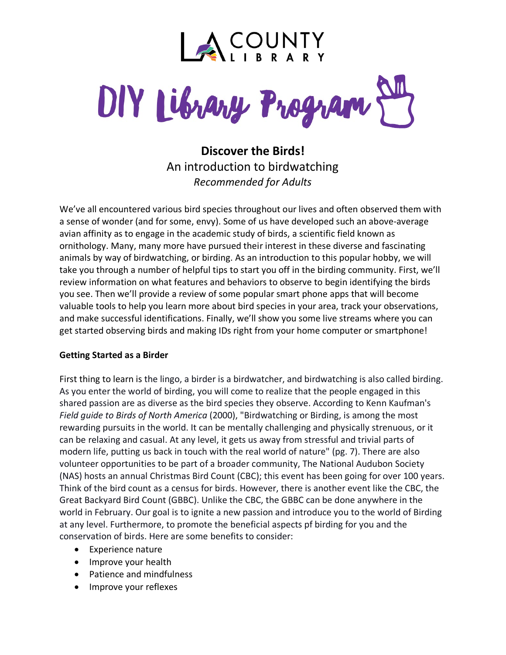

DIY Library Program

**Discover the Birds!** An introduction to birdwatching *Recommended for Adults*

We've all encountered various bird species throughout our lives and often observed them with a sense of wonder (and for some, envy). Some of us have developed such an above-average avian affinity as to engage in the academic study of birds, a scientific field known as ornithology. Many, many more have pursued their interest in these diverse and fascinating animals by way of birdwatching, or birding. As an introduction to this popular hobby, we will take you through a number of helpful tips to start you off in the birding community. First, we'll review information on what features and behaviors to observe to begin identifying the birds you see. Then we'll provide a review of some popular smart phone apps that will become valuable tools to help you learn more about bird species in your area, track your observations, and make successful identifications. Finally, we'll show you some live streams where you can get started observing birds and making IDs right from your home computer or smartphone!

### **Getting Started as a Birder**

First thing to learn is the lingo, a birder is a birdwatcher, and birdwatching is also called birding. As you enter the world of birding, you will come to realize that the people engaged in this shared passion are as diverse as the bird species they observe. According to Kenn Kaufman's *Field guide to Birds of North America* (2000), "Birdwatching or Birding, is among the most rewarding pursuits in the world. It can be mentally challenging and physically strenuous, or it can be relaxing and casual. At any level, it gets us away from stressful and trivial parts of modern life, putting us back in touch with the real world of nature" (pg. 7). There are also volunteer opportunities to be part of a broader community, The National Audubon Society (NAS) hosts an annual Christmas Bird Count (CBC); this event has been going for over 100 years. Think of the bird count as a census for birds. However, there is another event like the CBC, the Great Backyard Bird Count (GBBC). Unlike the CBC, the GBBC can be done anywhere in the world in February. Our goal is to ignite a new passion and introduce you to the world of Birding at any level. Furthermore, to promote the beneficial aspects pf birding for you and the conservation of birds. Here are some benefits to consider:

- Experience nature
- Improve your health
- Patience and mindfulness
- Improve your reflexes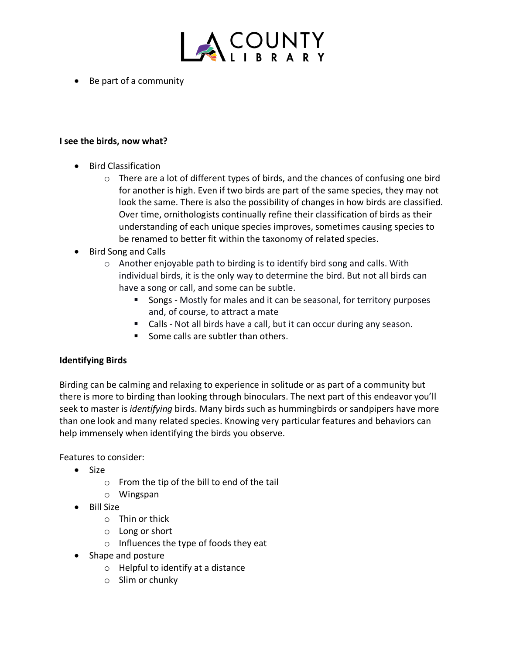

• Be part of a community

#### **I see the birds, now what?**

- Bird Classification
	- $\circ$  There are a lot of different types of birds, and the chances of confusing one bird for another is high. Even if two birds are part of the same species, they may not look the same. There is also the possibility of changes in how birds are classified. Over time, ornithologists continually refine their classification of birds as their understanding of each unique species improves, sometimes causing species to be renamed to better fit within the taxonomy of related species.
- Bird Song and Calls
	- o Another enjoyable path to birding is to identify bird song and calls. With individual birds, it is the only way to determine the bird. But not all birds can have a song or call, and some can be subtle.
		- **Songs Mostly for males and it can be seasonal, for territory purposes** and, of course, to attract a mate
		- Calls Not all birds have a call, but it can occur during any season.
		- Some calls are subtler than others.

### **Identifying Birds**

Birding can be calming and relaxing to experience in solitude or as part of a community but there is more to birding than looking through binoculars. The next part of this endeavor you'll seek to master is *identifying* birds. Many birds such as hummingbirds or sandpipers have more than one look and many related species. Knowing very particular features and behaviors can help immensely when identifying the birds you observe.

Features to consider:

- Size
	- o From the tip of the bill to end of the tail
	- o Wingspan
- Bill Size
	- o Thin or thick
	- o Long or short
	- o Influences the type of foods they eat
- Shape and posture
	- o Helpful to identify at a distance
	- o Slim or chunky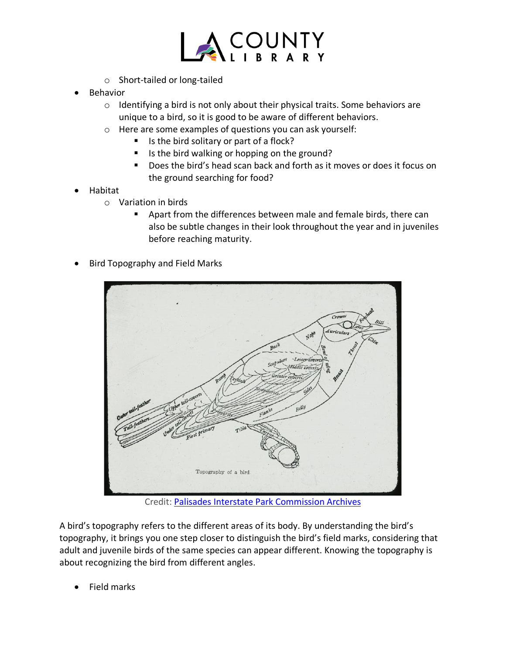

- o Short-tailed or long-tailed
- **Behavior** 
	- o Identifying a bird is not only about their physical traits. Some behaviors are unique to a bird, so it is good to be aware of different behaviors.
	- o Here are some examples of questions you can ask yourself:
		- $\blacksquare$  Is the bird solitary or part of a flock?
		- Is the bird walking or hopping on the ground?
		- Does the bird's head scan back and forth as it moves or does it focus on the ground searching for food?
- Habitat
	- o Variation in birds
		- Apart from the differences between male and female birds, there can also be subtle changes in their look throughout the year and in juveniles before reaching maturity.
- Bird Topography and Field Marks



Credit: [Palisades Interstate Park Commission Archives](https://cdm16694.contentdm.oclc.org/digital/collection/pipc/id/404)

A bird's topography refers to the different areas of its body. By understanding the bird's topography, it brings you one step closer to distinguish the bird's field marks, considering that adult and juvenile birds of the same species can appear different. Knowing the topography is about recognizing the bird from different angles.

• Field marks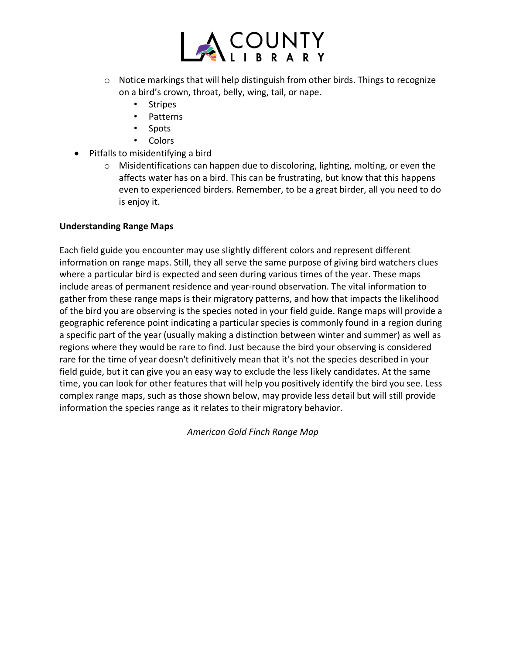

- o Notice markings that will help distinguish from other birds. Things to recognize on a bird's crown, throat, belly, wing, tail, or nape.
	- **Stripes**
	- Patterns
	- Spots
	- Colors
- Pitfalls to misidentifying a bird
	- o Misidentifications can happen due to discoloring, lighting, molting, or even the affects water has on a bird. This can be frustrating, but know that this happens even to experienced birders. Remember, to be a great birder, all you need to do is enjoy it.

## **Understanding Range Maps**

Each field guide you encounter may use slightly different colors and represent different information on range maps. Still, they all serve the same purpose of giving bird watchers clues where a particular bird is expected and seen during various times of the year. These maps include areas of permanent residence and year-round observation. The vital information to gather from these range maps is their migratory patterns, and how that impacts the likelihood of the bird you are observing is the species noted in your field guide. Range maps will provide a geographic reference point indicating a particular species is commonly found in a region during a specific part of the year (usually making a distinction between winter and summer) as well as regions where they would be rare to find. Just because the bird your observing is considered rare for the time of year doesn't definitively mean that it's not the species described in your field guide, but it can give you an easy way to exclude the less likely candidates. At the same time, you can look for other features that will help you positively identify the bird you see. Less complex range maps, such as those shown below, may provide less detail but will still provide information the species range as it relates to their migratory behavior.

*American Gold Finch Range Map*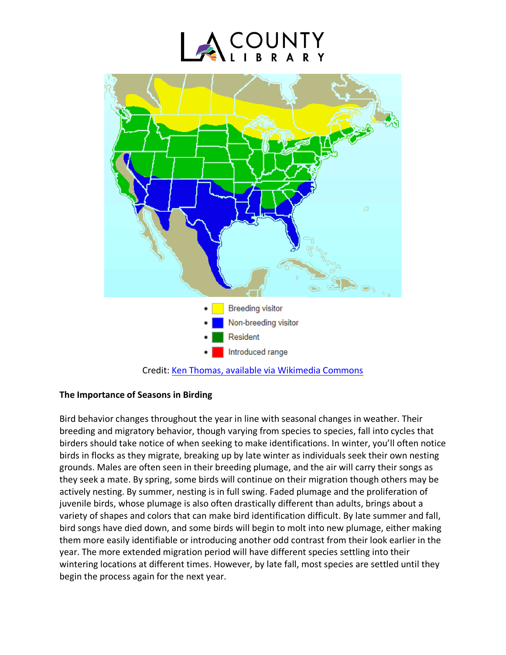



Credit: [Ken Thomas, available via Wikimedia Commons](https://commons.wikimedia.org/wiki/File:American_Goldfinch-rangemap.png)

# **The Importance of Seasons in Birding**

Bird behavior changes throughout the year in line with seasonal changes in weather. Their breeding and migratory behavior, though varying from species to species, fall into cycles that birders should take notice of when seeking to make identifications. In winter, you'll often notice birds in flocks as they migrate, breaking up by late winter as individuals seek their own nesting grounds. Males are often seen in their breeding plumage, and the air will carry their songs as they seek a mate. By spring, some birds will continue on their migration though others may be actively nesting. By summer, nesting is in full swing. Faded plumage and the proliferation of juvenile birds, whose plumage is also often drastically different than adults, brings about a variety of shapes and colors that can make bird identification difficult. By late summer and fall, bird songs have died down, and some birds will begin to molt into new plumage, either making them more easily identifiable or introducing another odd contrast from their look earlier in the year. The more extended migration period will have different species settling into their wintering locations at different times. However, by late fall, most species are settled until they begin the process again for the next year.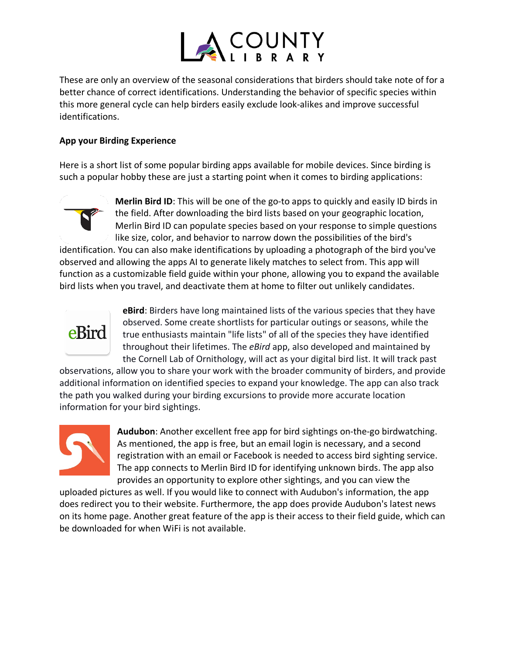

These are only an overview of the seasonal considerations that birders should take note of for a better chance of correct identifications. Understanding the behavior of specific species within this more general cycle can help birders easily exclude look-alikes and improve successful identifications.

## **App your Birding Experience**

Here is a short list of some popular birding apps available for mobile devices. Since birding is such a popular hobby these are just a starting point when it comes to birding applications:



**Merlin Bird ID**: This will be one of the go-to apps to quickly and easily ID birds in the field. After downloading the bird lists based on your geographic location, Merlin Bird ID can populate species based on your response to simple questions like size, color, and behavior to narrow down the possibilities of the bird's

identification. You can also make identifications by uploading a photograph of the bird you've observed and allowing the apps AI to generate likely matches to select from. This app will function as a customizable field guide within your phone, allowing you to expand the available bird lists when you travel, and deactivate them at home to filter out unlikely candidates.



**eBird**: Birders have long maintained lists of the various species that they have observed. Some create shortlists for particular outings or seasons, while the true enthusiasts maintain "life lists" of all of the species they have identified throughout their lifetimes. The *eBird* app, also developed and maintained by the Cornell Lab of Ornithology, will act as your digital bird list. It will track past

observations, allow you to share your work with the broader community of birders, and provide additional information on identified species to expand your knowledge. The app can also track the path you walked during your birding excursions to provide more accurate location information for your bird sightings.



**Audubon**: Another excellent free app for bird sightings on-the-go birdwatching. As mentioned, the app is free, but an email login is necessary, and a second registration with an email or Facebook is needed to access bird sighting service. The app connects to Merlin Bird ID for identifying unknown birds. The app also provides an opportunity to explore other sightings, and you can view the

uploaded pictures as well. If you would like to connect with Audubon's information, the app does redirect you to their website. Furthermore, the app does provide Audubon's latest news on its home page. Another great feature of the app is their access to their field guide, which can be downloaded for when WiFi is not available.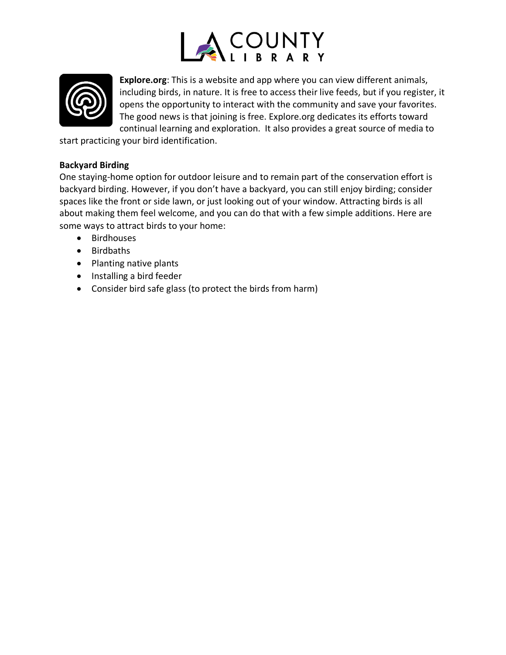



**Explore.org**: This is a website and app where you can view different animals, including birds, in nature. It is free to access their live feeds, but if you register, it opens the opportunity to interact with the community and save your favorites. The good news is that joining is free. Explore.org dedicates its efforts toward continual learning and exploration. It also provides a great source of media to

start practicing your bird identification.

## **Backyard Birding**

One staying-home option for outdoor leisure and to remain part of the conservation effort is backyard birding. However, if you don't have a backyard, you can still enjoy birding; consider spaces like the front or side lawn, or just looking out of your window. Attracting birds is all about making them feel welcome, and you can do that with a few simple additions. Here are some ways to attract birds to your home:

- Birdhouses
- Birdbaths
- Planting native plants
- Installing a bird feeder
- Consider bird safe glass (to protect the birds from harm)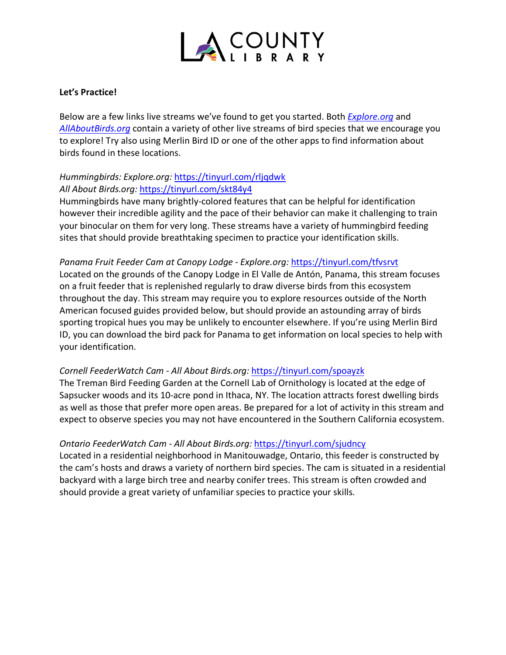

### **Let's Practice!**

Below are a few links live streams we've found to get you started. Both *[Explore.org](https://explore.org/livecams)* and *[AllAboutBirds.org](https://www.allaboutbirds.org/news/)* contain a variety of other live streams of bird species that we encourage you to explore! Try also using Merlin Bird ID or one of the other apps to find information about birds found in these locations.

# *Hummingbirds: Explore.org:* <https://tinyurl.com/rljqdwk> *All About Birds.org:* <https://tinyurl.com/skt84y4>

Hummingbirds have many brightly-colored features that can be helpful for identification however their incredible agility and the pace of their behavior can make it challenging to train your binocular on them for very long. These streams have a variety of hummingbird feeding sites that should provide breathtaking specimen to practice your identification skills.

### *Panama Fruit Feeder Cam at Canopy Lodge - Explore.org:* <https://tinyurl.com/tfvsrvt>

Located on the grounds of the Canopy Lodge in El Valle de Antón, Panama, this stream focuses on a fruit feeder that is replenished regularly to draw diverse birds from this ecosystem throughout the day. This stream may require you to explore resources outside of the North American focused guides provided below, but should provide an astounding array of birds sporting tropical hues you may be unlikely to encounter elsewhere. If you're using Merlin Bird ID, you can download the bird pack for Panama to get information on local species to help with your identification.

# *Cornell FeederWatch Cam - All About Birds.org:* <https://tinyurl.com/spoayzk>

The Treman Bird Feeding Garden at the Cornell Lab of Ornithology is located at the edge of Sapsucker woods and its 10-acre pond in Ithaca, NY. The location attracts forest dwelling birds as well as those that prefer more open areas. Be prepared for a lot of activity in this stream and expect to observe species you may not have encountered in the Southern California ecosystem.

### *Ontario FeederWatch Cam - All About Birds.org:* <https://tinyurl.com/sjudncy>

Located in a residential neighborhood in Manitouwadge, Ontario, this feeder is constructed by the cam's hosts and draws a variety of northern bird species. The cam is situated in a residential backyard with a large birch tree and nearby conifer trees. This stream is often crowded and should provide a great variety of unfamiliar species to practice your skills.